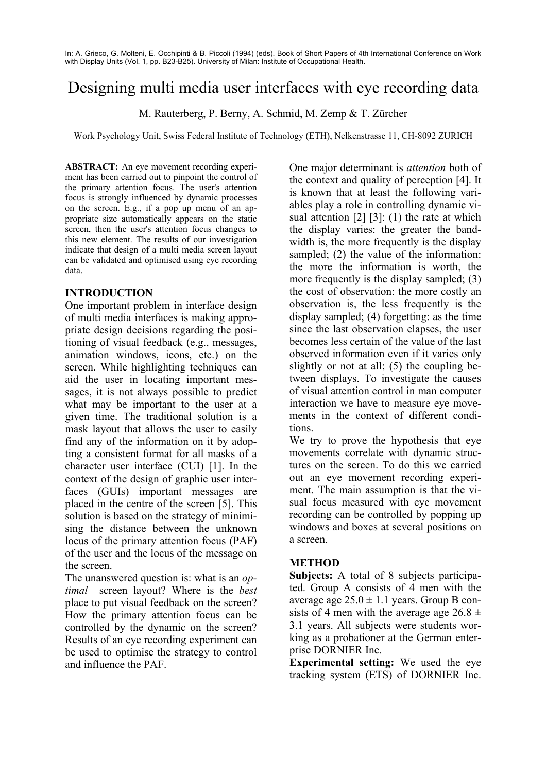# Designing multi media user interfaces with eye recording data

M. Rauterberg, P. Berny, A. Schmid, M. Zemp & T. Zürcher

Work Psychology Unit, Swiss Federal Institute of Technology (ETH), Nelkenstrasse 11, CH-8092 ZURICH

**ABSTRACT:** An eye movement recording experiment has been carried out to pinpoint the control of the primary attention focus. The user's attention focus is strongly influenced by dynamic processes on the screen. E.g., if a pop up menu of an appropriate size automatically appears on the static screen, then the user's attention focus changes to this new element. The results of our investigation indicate that design of a multi media screen layout can be validated and optimised using eye recording data.

## **INTRODUCTION**

One important problem in interface design of multi media interfaces is making appropriate design decisions regarding the positioning of visual feedback (e.g., messages, animation windows, icons, etc.) on the screen. While highlighting techniques can aid the user in locating important messages, it is not always possible to predict what may be important to the user at a given time. The traditional solution is a mask layout that allows the user to easily find any of the information on it by adopting a consistent format for all masks of a character user interface (CUI) [1]. In the context of the design of graphic user interfaces (GUIs) important messages are placed in the centre of the screen [5]. This solution is based on the strategy of minimising the distance between the unknown locus of the primary attention focus (PAF) of the user and the locus of the message on the screen.

The unanswered question is: what is an *optimal* screen layout? Where is the *best* place to put visual feedback on the screen? How the primary attention focus can be controlled by the dynamic on the screen? Results of an eye recording experiment can be used to optimise the strategy to control and influence the PAF.

One major determinant is *attention* both of the context and quality of perception [4]. It is known that at least the following variables play a role in controlling dynamic visual attention [2] [3]: (1) the rate at which the display varies: the greater the bandwidth is, the more frequently is the display sampled; (2) the value of the information: the more the information is worth, the more frequently is the display sampled; (3) the cost of observation: the more costly an observation is, the less frequently is the display sampled; (4) forgetting: as the time since the last observation elapses, the user becomes less certain of the value of the last observed information even if it varies only slightly or not at all; (5) the coupling between displays. To investigate the causes of visual attention control in man computer interaction we have to measure eye movements in the context of different conditions.

We try to prove the hypothesis that eye movements correlate with dynamic structures on the screen. To do this we carried out an eye movement recording experiment. The main assumption is that the visual focus measured with eye movement recording can be controlled by popping up windows and boxes at several positions on a screen.

# **METHOD**

**Subjects:** A total of 8 subjects participated. Group A consists of 4 men with the average age  $25.0 \pm 1.1$  years. Group B consists of 4 men with the average age  $26.8 \pm$ 3.1 years. All subjects were students working as a probationer at the German enterprise DORNIER Inc.

**Experimental setting:** We used the eye tracking system (ETS) of DORNIER Inc.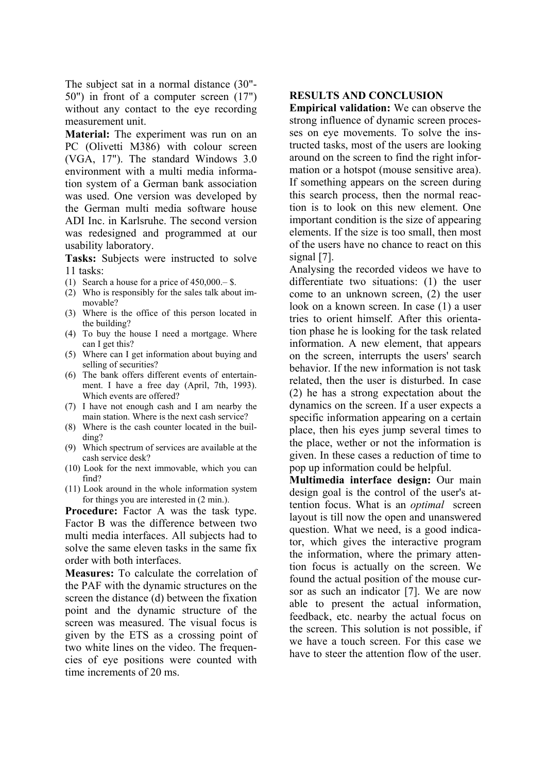The subject sat in a normal distance (30"- 50") in front of a computer screen (17") without any contact to the eye recording measurement unit.

**Material:** The experiment was run on an PC (Olivetti M386) with colour screen (VGA, 17"). The standard Windows 3.0 environment with a multi media information system of a German bank association was used. One version was developed by the German multi media software house ADI Inc. in Karlsruhe. The second version was redesigned and programmed at our usability laboratory.

**Tasks:** Subjects were instructed to solve 11 tasks:

- (1) Search a house for a price of 450,000.– \$.
- (2) Who is responsibly for the sales talk about immovable?
- (3) Where is the office of this person located in the building?
- (4) To buy the house I need a mortgage. Where can I get this?
- (5) Where can I get information about buying and selling of securities?
- (6) The bank offers different events of entertainment. I have a free day (April, 7th, 1993). Which events are offered?
- (7) I have not enough cash and I am nearby the main station. Where is the next cash service?
- (8) Where is the cash counter located in the building?
- (9) Which spectrum of services are available at the cash service desk?
- (10) Look for the next immovable, which you can find?
- (11) Look around in the whole information system for things you are interested in (2 min.).

**Procedure:** Factor A was the task type. Factor B was the difference between two multi media interfaces. All subjects had to solve the same eleven tasks in the same fix order with both interfaces.

**Measures:** To calculate the correlation of the PAF with the dynamic structures on the screen the distance (d) between the fixation point and the dynamic structure of the screen was measured. The visual focus is given by the ETS as a crossing point of two white lines on the video. The frequencies of eye positions were counted with time increments of 20 ms.

## **RESULTS AND CONCLUSION**

**Empirical validation:** We can observe the strong influence of dynamic screen processes on eye movements. To solve the instructed tasks, most of the users are looking around on the screen to find the right information or a hotspot (mouse sensitive area). If something appears on the screen during this search process, then the normal reaction is to look on this new element. One important condition is the size of appearing elements. If the size is too small, then most of the users have no chance to react on this signal [7].

Analysing the recorded videos we have to differentiate two situations: (1) the user come to an unknown screen, (2) the user look on a known screen. In case (1) a user tries to orient himself. After this orientation phase he is looking for the task related information. A new element, that appears on the screen, interrupts the users' search behavior. If the new information is not task related, then the user is disturbed. In case (2) he has a strong expectation about the dynamics on the screen. If a user expects a specific information appearing on a certain place, then his eyes jump several times to the place, wether or not the information is given. In these cases a reduction of time to pop up information could be helpful.

**Multimedia interface design:** Our main design goal is the control of the user's attention focus. What is an *optimal* screen layout is till now the open and unanswered question. What we need, is a good indicator, which gives the interactive program the information, where the primary attention focus is actually on the screen. We found the actual position of the mouse cursor as such an indicator [7]. We are now able to present the actual information, feedback, etc. nearby the actual focus on the screen. This solution is not possible, if we have a touch screen. For this case we have to steer the attention flow of the user.